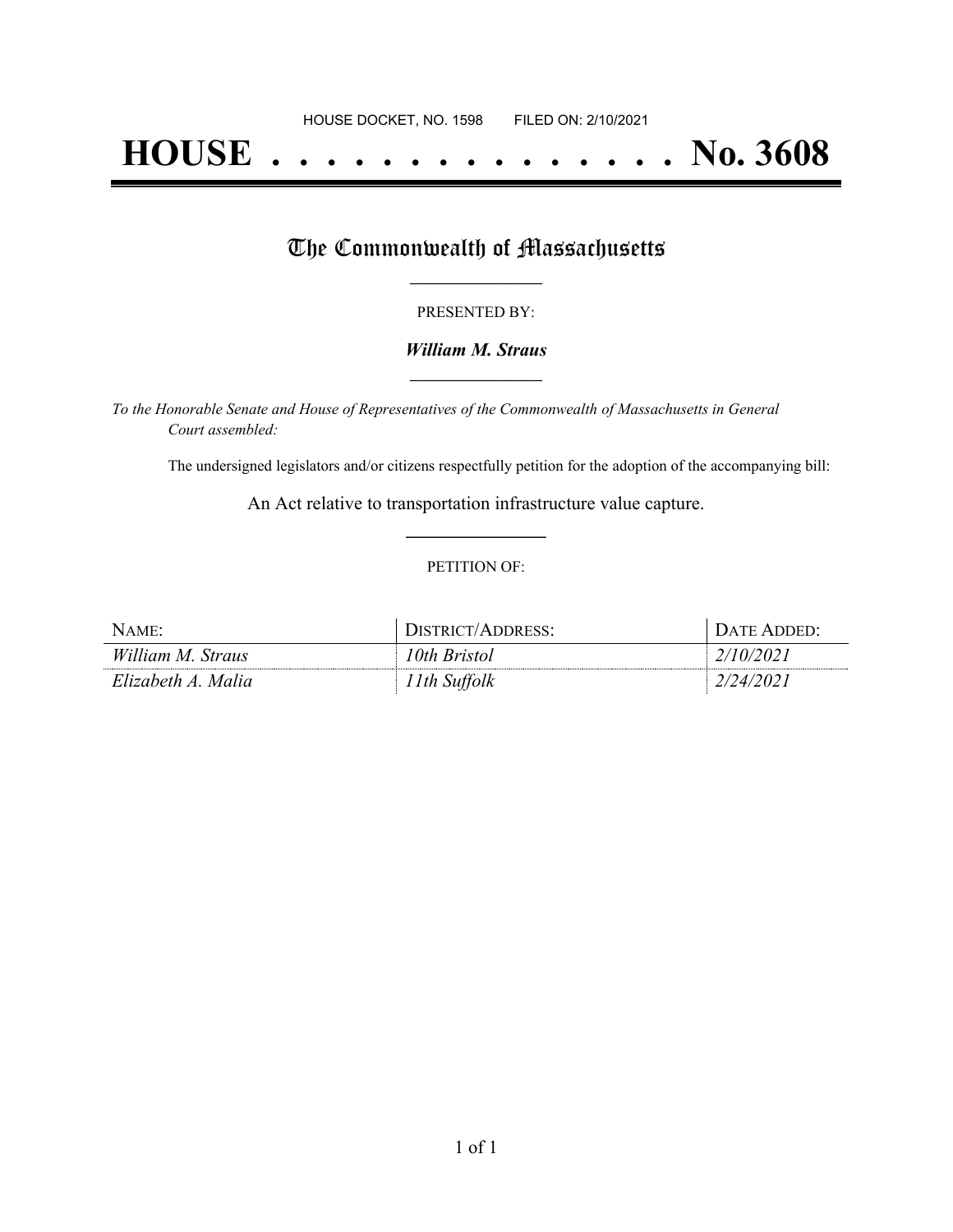# **HOUSE . . . . . . . . . . . . . . . No. 3608**

## The Commonwealth of Massachusetts

#### PRESENTED BY:

#### *William M. Straus* **\_\_\_\_\_\_\_\_\_\_\_\_\_\_\_\_\_**

*To the Honorable Senate and House of Representatives of the Commonwealth of Massachusetts in General Court assembled:*

The undersigned legislators and/or citizens respectfully petition for the adoption of the accompanying bill:

An Act relative to transportation infrastructure value capture. **\_\_\_\_\_\_\_\_\_\_\_\_\_\_\_**

#### PETITION OF:

| $N$ AME:           | DISTRICT/ADDRESS: | DATE ADDED: |
|--------------------|-------------------|-------------|
| William M. Straus  | 10th Bristol      | 2/10/2021   |
| Elizabeth A. Malia | 11th Suffolk      | 2/24/2021   |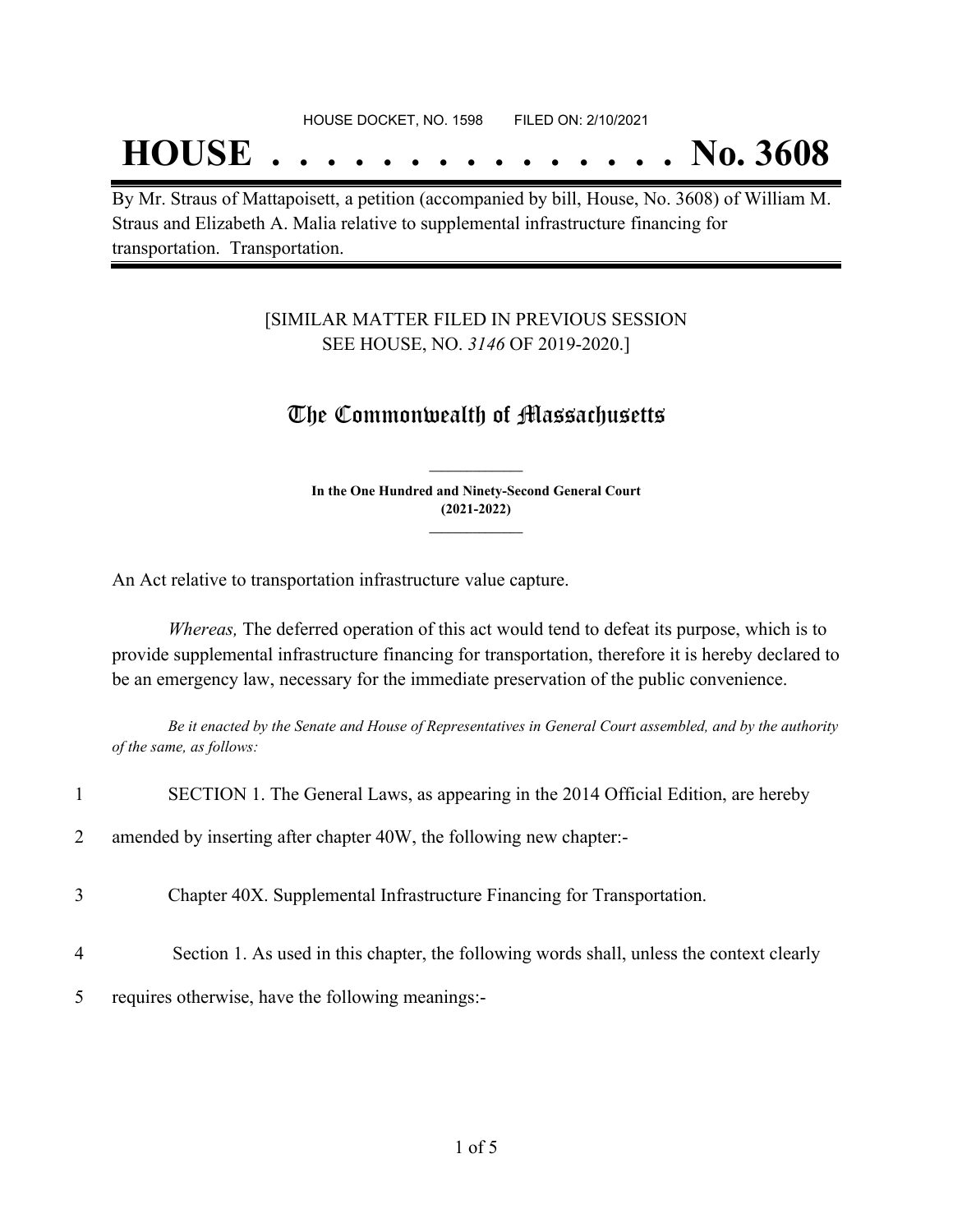## **HOUSE . . . . . . . . . . . . . . . No. 3608**

By Mr. Straus of Mattapoisett, a petition (accompanied by bill, House, No. 3608) of William M. Straus and Elizabeth A. Malia relative to supplemental infrastructure financing for transportation. Transportation.

#### [SIMILAR MATTER FILED IN PREVIOUS SESSION SEE HOUSE, NO. *3146* OF 2019-2020.]

### The Commonwealth of Massachusetts

**In the One Hundred and Ninety-Second General Court (2021-2022) \_\_\_\_\_\_\_\_\_\_\_\_\_\_\_**

**\_\_\_\_\_\_\_\_\_\_\_\_\_\_\_**

An Act relative to transportation infrastructure value capture.

*Whereas,* The deferred operation of this act would tend to defeat its purpose, which is to provide supplemental infrastructure financing for transportation, therefore it is hereby declared to be an emergency law, necessary for the immediate preservation of the public convenience.

Be it enacted by the Senate and House of Representatives in General Court assembled, and by the authority *of the same, as follows:*

|   | SECTION 1. The General Laws, as appearing in the 2014 Official Edition, are hereby        |
|---|-------------------------------------------------------------------------------------------|
| 2 | amended by inserting after chapter 40W, the following new chapter:-                       |
| 3 | Chapter 40X. Supplemental Infrastructure Financing for Transportation.                    |
| 4 | Section 1. As used in this chapter, the following words shall, unless the context clearly |
| 5 | requires otherwise, have the following meanings:-                                         |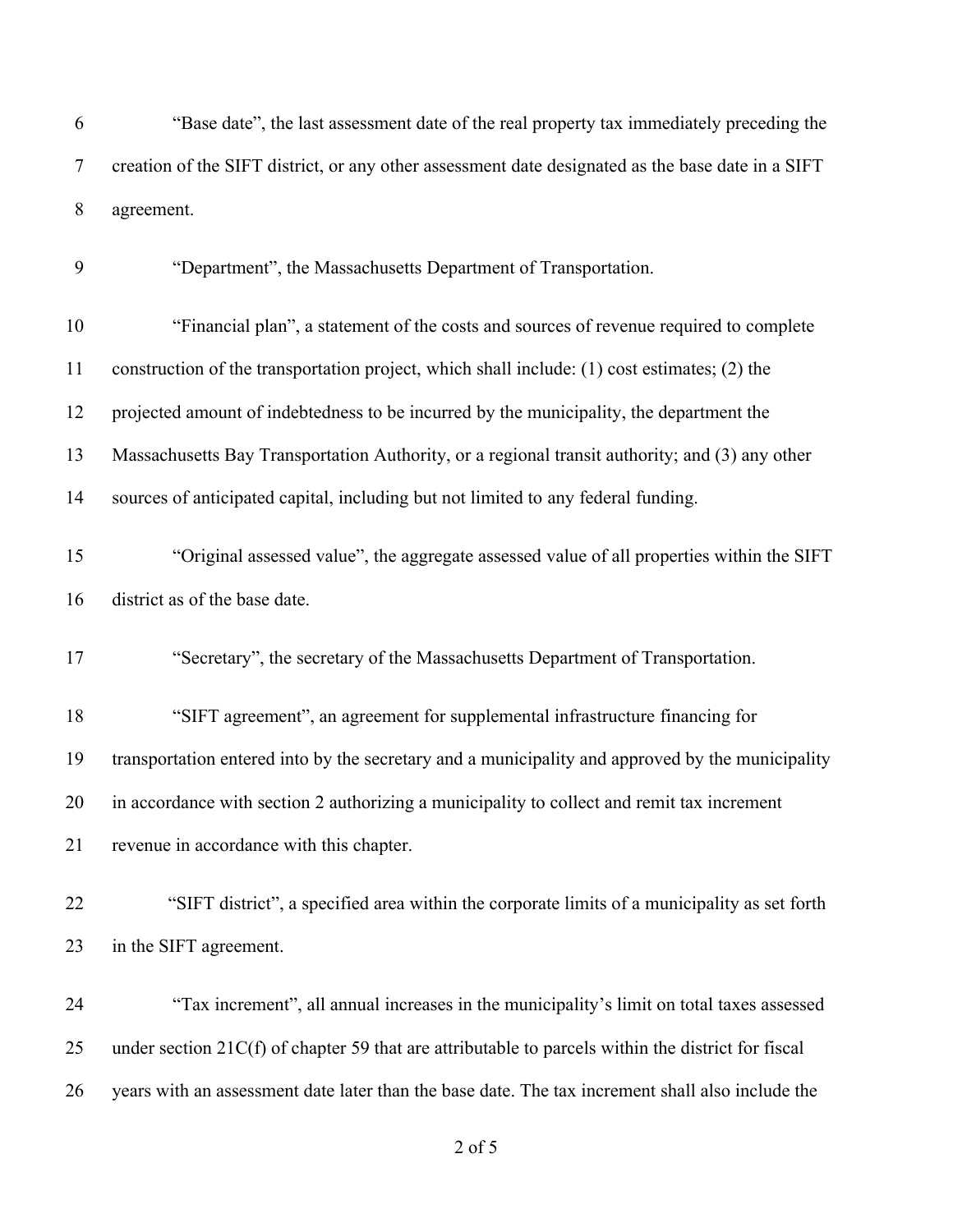| 6      | "Base date", the last assessment date of the real property tax immediately preceding the             |
|--------|------------------------------------------------------------------------------------------------------|
| $\tau$ | creation of the SIFT district, or any other assessment date designated as the base date in a SIFT    |
| $8\,$  | agreement.                                                                                           |
| 9      | "Department", the Massachusetts Department of Transportation.                                        |
| 10     | "Financial plan", a statement of the costs and sources of revenue required to complete               |
| 11     | construction of the transportation project, which shall include: (1) cost estimates; (2) the         |
| 12     | projected amount of indebtedness to be incurred by the municipality, the department the              |
| 13     | Massachusetts Bay Transportation Authority, or a regional transit authority; and (3) any other       |
| 14     | sources of anticipated capital, including but not limited to any federal funding.                    |
| 15     | "Original assessed value", the aggregate assessed value of all properties within the SIFT            |
| 16     | district as of the base date.                                                                        |
| 17     | "Secretary", the secretary of the Massachusetts Department of Transportation.                        |
| 18     | "SIFT agreement", an agreement for supplemental infrastructure financing for                         |
| 19     | transportation entered into by the secretary and a municipality and approved by the municipality     |
| 20     | in accordance with section 2 authorizing a municipality to collect and remit tax increment           |
| 21     | revenue in accordance with this chapter.                                                             |
| 22     | "SIFT district", a specified area within the corporate limits of a municipality as set forth         |
| 23     | in the SIFT agreement.                                                                               |
| 24     | "Tax increment", all annual increases in the municipality's limit on total taxes assessed            |
| 25     | under section $21C(f)$ of chapter 59 that are attributable to parcels within the district for fiscal |
| 26     | years with an assessment date later than the base date. The tax increment shall also include the     |

of 5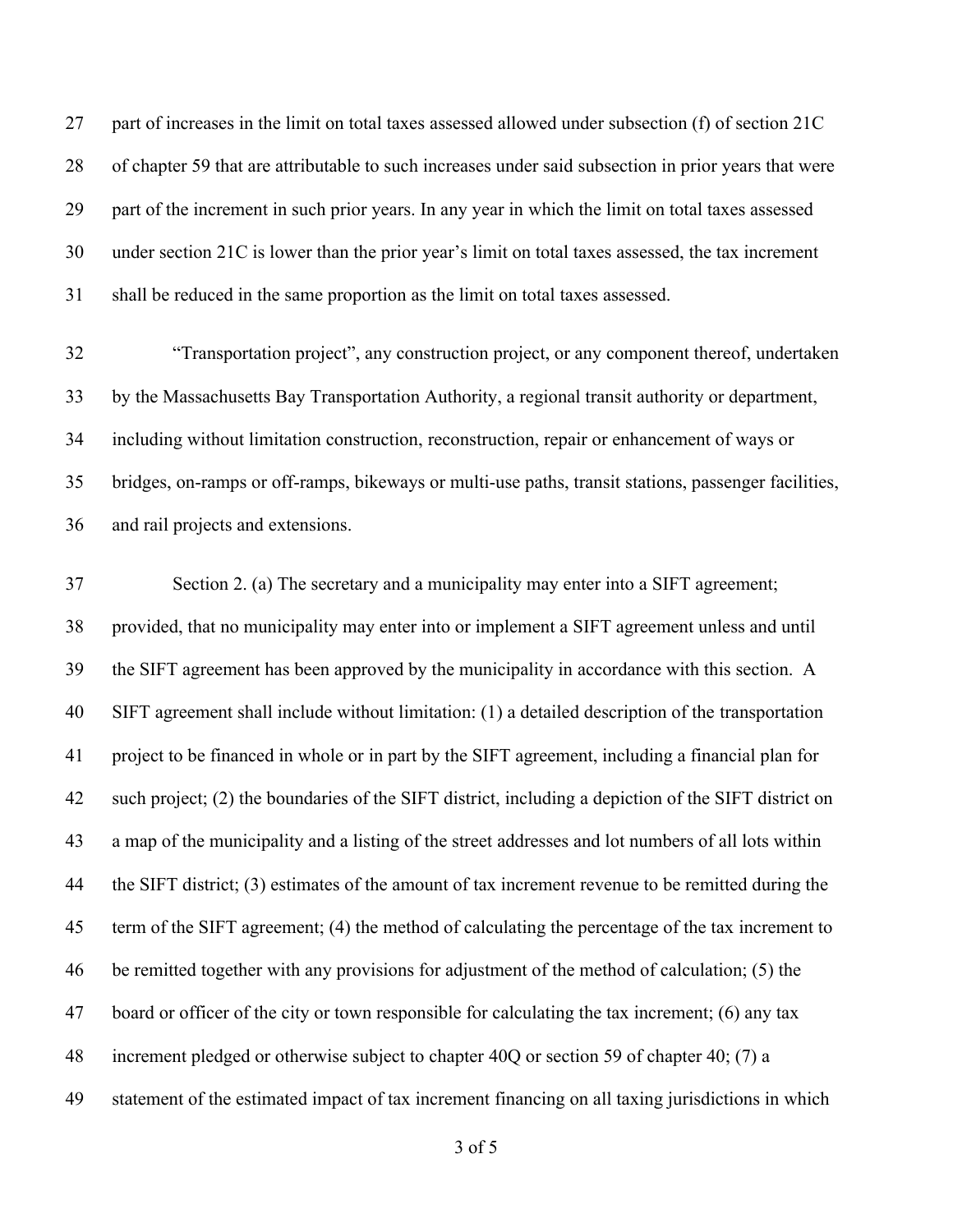part of increases in the limit on total taxes assessed allowed under subsection (f) of section 21C of chapter 59 that are attributable to such increases under said subsection in prior years that were part of the increment in such prior years. In any year in which the limit on total taxes assessed under section 21C is lower than the prior year's limit on total taxes assessed, the tax increment shall be reduced in the same proportion as the limit on total taxes assessed.

 "Transportation project", any construction project, or any component thereof, undertaken by the Massachusetts Bay Transportation Authority, a regional transit authority or department, including without limitation construction, reconstruction, repair or enhancement of ways or bridges, on-ramps or off-ramps, bikeways or multi-use paths, transit stations, passenger facilities, and rail projects and extensions.

 Section 2. (a) The secretary and a municipality may enter into a SIFT agreement; provided, that no municipality may enter into or implement a SIFT agreement unless and until the SIFT agreement has been approved by the municipality in accordance with this section. A SIFT agreement shall include without limitation: (1) a detailed description of the transportation project to be financed in whole or in part by the SIFT agreement, including a financial plan for such project; (2) the boundaries of the SIFT district, including a depiction of the SIFT district on a map of the municipality and a listing of the street addresses and lot numbers of all lots within the SIFT district; (3) estimates of the amount of tax increment revenue to be remitted during the term of the SIFT agreement; (4) the method of calculating the percentage of the tax increment to be remitted together with any provisions for adjustment of the method of calculation; (5) the board or officer of the city or town responsible for calculating the tax increment; (6) any tax increment pledged or otherwise subject to chapter 40Q or section 59 of chapter 40; (7) a statement of the estimated impact of tax increment financing on all taxing jurisdictions in which

of 5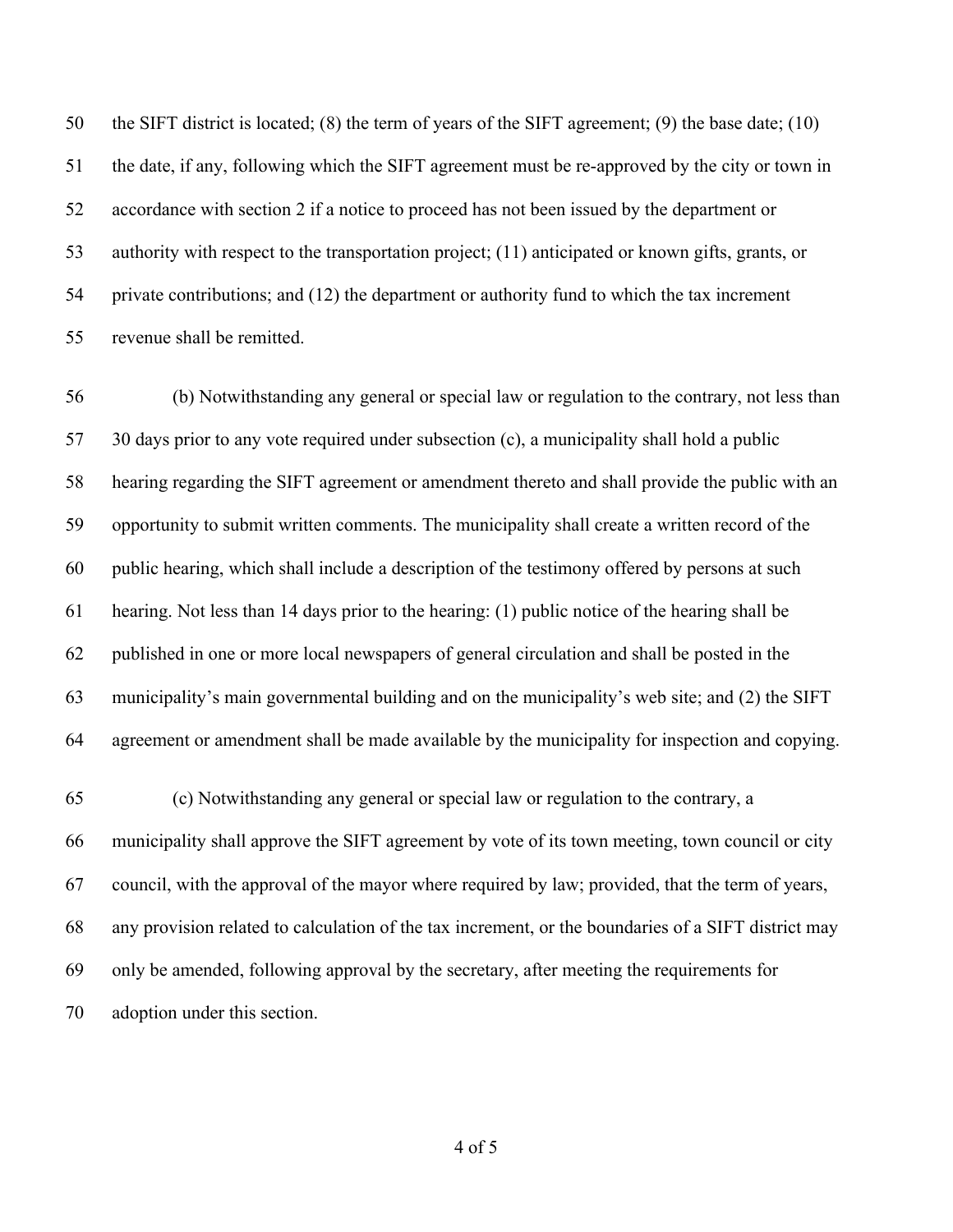the SIFT district is located; (8) the term of years of the SIFT agreement; (9) the base date; (10) the date, if any, following which the SIFT agreement must be re-approved by the city or town in accordance with section 2 if a notice to proceed has not been issued by the department or authority with respect to the transportation project; (11) anticipated or known gifts, grants, or private contributions; and (12) the department or authority fund to which the tax increment revenue shall be remitted.

 (b) Notwithstanding any general or special law or regulation to the contrary, not less than 30 days prior to any vote required under subsection (c), a municipality shall hold a public hearing regarding the SIFT agreement or amendment thereto and shall provide the public with an opportunity to submit written comments. The municipality shall create a written record of the public hearing, which shall include a description of the testimony offered by persons at such hearing. Not less than 14 days prior to the hearing: (1) public notice of the hearing shall be published in one or more local newspapers of general circulation and shall be posted in the municipality's main governmental building and on the municipality's web site; and (2) the SIFT agreement or amendment shall be made available by the municipality for inspection and copying.

 (c) Notwithstanding any general or special law or regulation to the contrary, a municipality shall approve the SIFT agreement by vote of its town meeting, town council or city council, with the approval of the mayor where required by law; provided, that the term of years, any provision related to calculation of the tax increment, or the boundaries of a SIFT district may only be amended, following approval by the secretary, after meeting the requirements for adoption under this section.

of 5